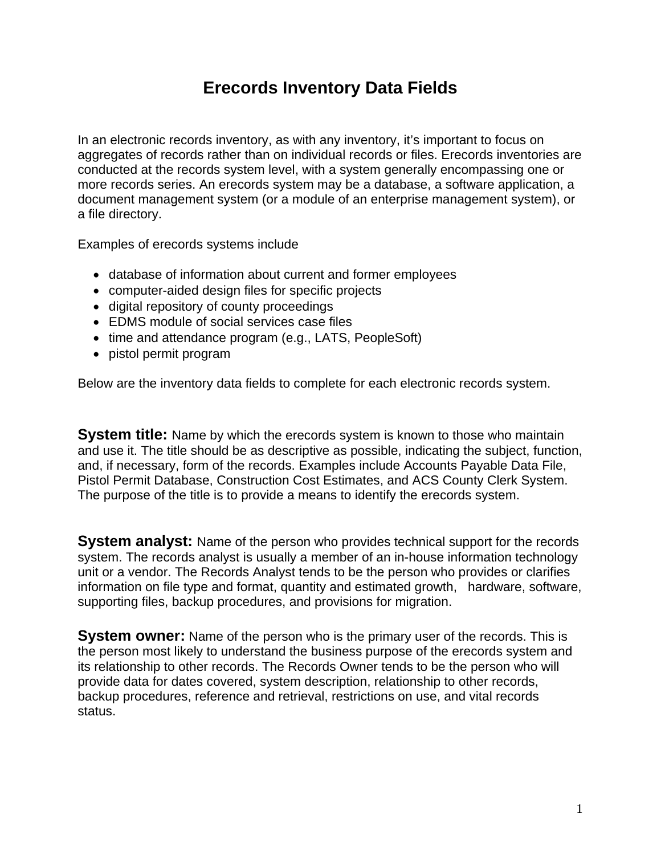## **Erecords Inventory Data Fields**

In an electronic records inventory, as with any inventory, it's important to focus on aggregates of records rather than on individual records or files. Erecords inventories are conducted at the records system level, with a system generally encompassing one or more records series. An erecords system may be a database, a software application, a document management system (or a module of an enterprise management system), or a file directory.

Examples of erecords systems include

- database of information about current and former employees
- computer-aided design files for specific projects
- digital repository of county proceedings
- EDMS module of social services case files
- time and attendance program (e.g., LATS, PeopleSoft)
- pistol permit program

Below are the inventory data fields to complete for each electronic records system.

**System title:** Name by which the erecords system is known to those who maintain and use it. The title should be as descriptive as possible, indicating the subject, function, and, if necessary, form of the records. Examples include Accounts Payable Data File, Pistol Permit Database, Construction Cost Estimates, and ACS County Clerk System. The purpose of the title is to provide a means to identify the erecords system.

**System analyst:** Name of the person who provides technical support for the records system. The records analyst is usually a member of an in-house information technology unit or a vendor. The Records Analyst tends to be the person who provides or clarifies information on file type and format, quantity and estimated growth, hardware, software, supporting files, backup procedures, and provisions for migration.

**System owner:** Name of the person who is the primary user of the records. This is the person most likely to understand the business purpose of the erecords system and its relationship to other records. The Records Owner tends to be the person who will provide data for dates covered, system description, relationship to other records, backup procedures, reference and retrieval, restrictions on use, and vital records status.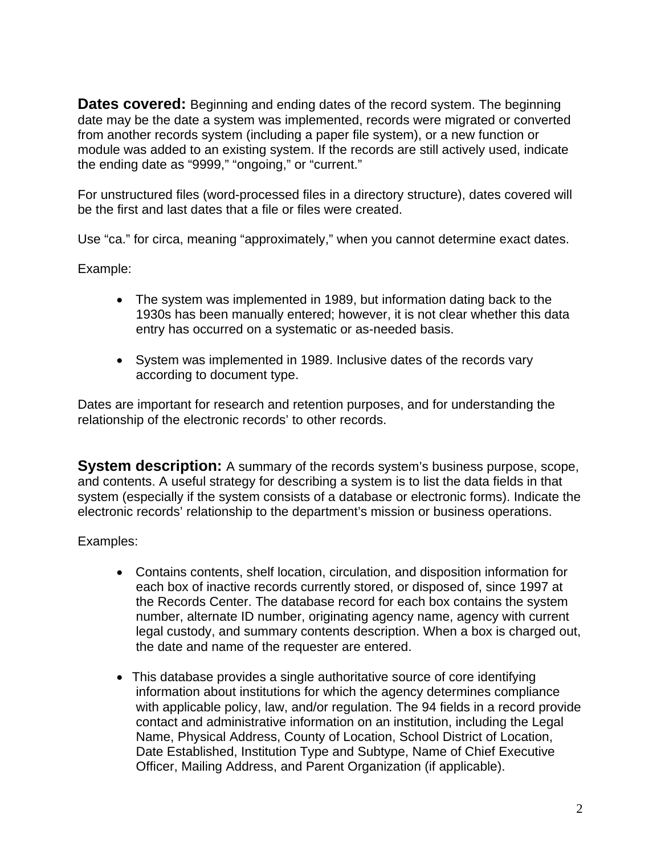**Dates covered:** Beginning and ending dates of the record system. The beginning date may be the date a system was implemented, records were migrated or converted from another records system (including a paper file system), or a new function or module was added to an existing system. If the records are still actively used, indicate the ending date as "9999," "ongoing," or "current."

For unstructured files (word-processed files in a directory structure), dates covered will be the first and last dates that a file or files were created.

Use "ca." for circa, meaning "approximately," when you cannot determine exact dates.

Example:

- The system was implemented in 1989, but information dating back to the 1930s has been manually entered; however, it is not clear whether this data entry has occurred on a systematic or as-needed basis.
- System was implemented in 1989. Inclusive dates of the records vary according to document type.

Dates are important for research and retention purposes, and for understanding the relationship of the electronic records' to other records.

**System description:** A summary of the records system's business purpose, scope, and contents. A useful strategy for describing a system is to list the data fields in that system (especially if the system consists of a database or electronic forms). Indicate the electronic records' relationship to the department's mission or business operations.

Examples:

- Contains contents, shelf location, circulation, and disposition information for each box of inactive records currently stored, or disposed of, since 1997 at the Records Center. The database record for each box contains the system number, alternate ID number, originating agency name, agency with current legal custody, and summary contents description. When a box is charged out, the date and name of the requester are entered.
- This database provides a single authoritative source of core identifying information about institutions for which the agency determines compliance with applicable policy, law, and/or regulation. The 94 fields in a record provide contact and administrative information on an institution, including the Legal Name, Physical Address, County of Location, School District of Location, Date Established, Institution Type and Subtype, Name of Chief Executive Officer, Mailing Address, and Parent Organization (if applicable).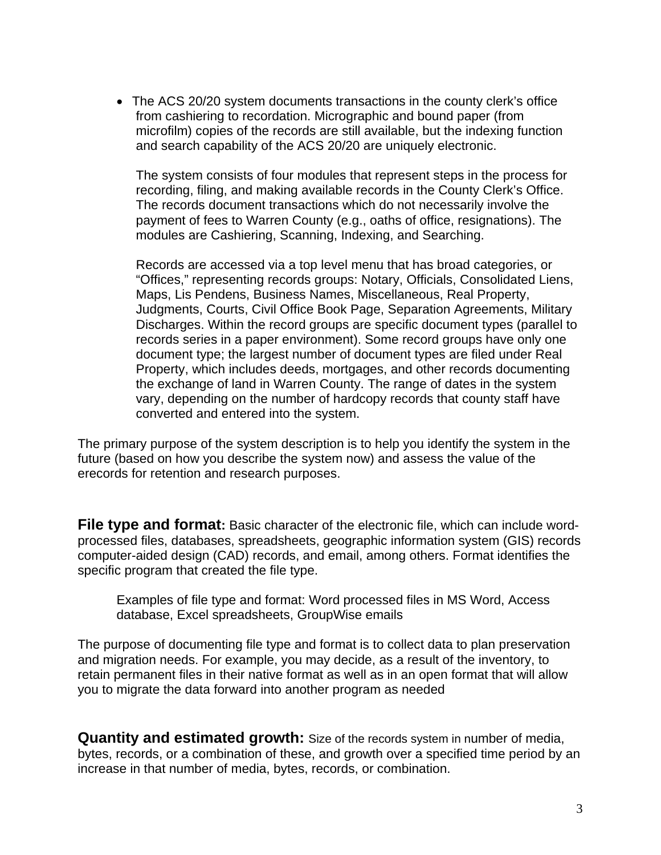• The ACS 20/20 system documents transactions in the county clerk's office from cashiering to recordation. Micrographic and bound paper (from microfilm) copies of the records are still available, but the indexing function and search capability of the ACS 20/20 are uniquely electronic.

The system consists of four modules that represent steps in the process for recording, filing, and making available records in the County Clerk's Office. The records document transactions which do not necessarily involve the payment of fees to Warren County (e.g., oaths of office, resignations). The modules are Cashiering, Scanning, Indexing, and Searching.

Records are accessed via a top level menu that has broad categories, or "Offices," representing records groups: Notary, Officials, Consolidated Liens, Maps, Lis Pendens, Business Names, Miscellaneous, Real Property, Judgments, Courts, Civil Office Book Page, Separation Agreements, Military Discharges. Within the record groups are specific document types (parallel to records series in a paper environment). Some record groups have only one document type; the largest number of document types are filed under Real Property, which includes deeds, mortgages, and other records documenting the exchange of land in Warren County. The range of dates in the system vary, depending on the number of hardcopy records that county staff have converted and entered into the system.

The primary purpose of the system description is to help you identify the system in the future (based on how you describe the system now) and assess the value of the erecords for retention and research purposes.

**File type and format:** Basic character of the electronic file, which can include wordprocessed files, databases, spreadsheets, geographic information system (GIS) records computer-aided design (CAD) records, and email, among others. Format identifies the specific program that created the file type.

Examples of file type and format: Word processed files in MS Word, Access database, Excel spreadsheets, GroupWise emails

The purpose of documenting file type and format is to collect data to plan preservation and migration needs. For example, you may decide, as a result of the inventory, to retain permanent files in their native format as well as in an open format that will allow you to migrate the data forward into another program as needed

**Quantity and estimated growth:** Size of the records system in number of media, bytes, records, or a combination of these, and growth over a specified time period by an increase in that number of media, bytes, records, or combination.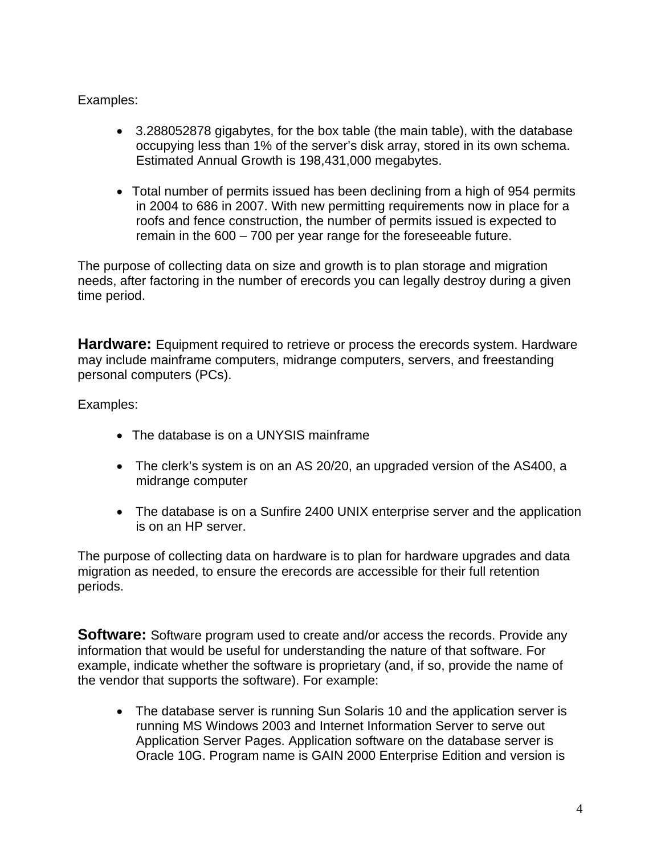Examples:

- 3.288052878 gigabytes, for the box table (the main table), with the database occupying less than 1% of the server's disk array, stored in its own schema. Estimated Annual Growth is 198,431,000 megabytes.
- Total number of permits issued has been declining from a high of 954 permits in 2004 to 686 in 2007. With new permitting requirements now in place for a roofs and fence construction, the number of permits issued is expected to remain in the 600 – 700 per year range for the foreseeable future.

The purpose of collecting data on size and growth is to plan storage and migration needs, after factoring in the number of erecords you can legally destroy during a given time period.

**Hardware:** Equipment required to retrieve or process the erecords system. Hardware may include mainframe computers, midrange computers, servers, and freestanding personal computers (PCs).

Examples:

- The database is on a UNYSIS mainframe
- The clerk's system is on an AS 20/20, an upgraded version of the AS400, a midrange computer
- The database is on a Sunfire 2400 UNIX enterprise server and the application is on an HP server.

The purpose of collecting data on hardware is to plan for hardware upgrades and data migration as needed, to ensure the erecords are accessible for their full retention periods.

**Software:** Software program used to create and/or access the records. Provide any information that would be useful for understanding the nature of that software. For example, indicate whether the software is proprietary (and, if so, provide the name of the vendor that supports the software). For example:

• The database server is running Sun Solaris 10 and the application server is running MS Windows 2003 and Internet Information Server to serve out Application Server Pages. Application software on the database server is Oracle 10G. Program name is GAIN 2000 Enterprise Edition and version is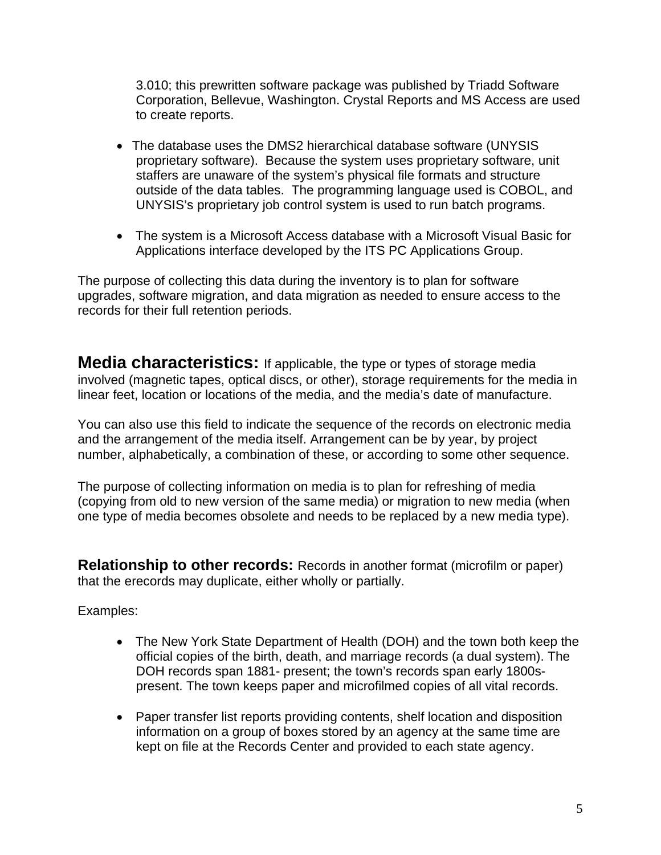3.010; this prewritten software package was published by Triadd Software Corporation, Bellevue, Washington. Crystal Reports and MS Access are used to create reports.

- The database uses the DMS2 hierarchical database software (UNYSIS proprietary software). Because the system uses proprietary software, unit staffers are unaware of the system's physical file formats and structure outside of the data tables. The programming language used is COBOL, and UNYSIS's proprietary job control system is used to run batch programs.
- The system is a Microsoft Access database with a Microsoft Visual Basic for Applications interface developed by the ITS PC Applications Group.

The purpose of collecting this data during the inventory is to plan for software upgrades, software migration, and data migration as needed to ensure access to the records for their full retention periods.

**Media characteristics:** If applicable, the type or types of storage media involved (magnetic tapes, optical discs, or other), storage requirements for the media in linear feet, location or locations of the media, and the media's date of manufacture.

You can also use this field to indicate the sequence of the records on electronic media and the arrangement of the media itself. Arrangement can be by year, by project number, alphabetically, a combination of these, or according to some other sequence.

The purpose of collecting information on media is to plan for refreshing of media (copying from old to new version of the same media) or migration to new media (when one type of media becomes obsolete and needs to be replaced by a new media type).

**Relationship to other records:** Records in another format (microfilm or paper) that the erecords may duplicate, either wholly or partially.

Examples:

- The New York State Department of Health (DOH) and the town both keep the official copies of the birth, death, and marriage records (a dual system). The DOH records span 1881- present; the town's records span early 1800spresent. The town keeps paper and microfilmed copies of all vital records.
- Paper transfer list reports providing contents, shelf location and disposition information on a group of boxes stored by an agency at the same time are kept on file at the Records Center and provided to each state agency.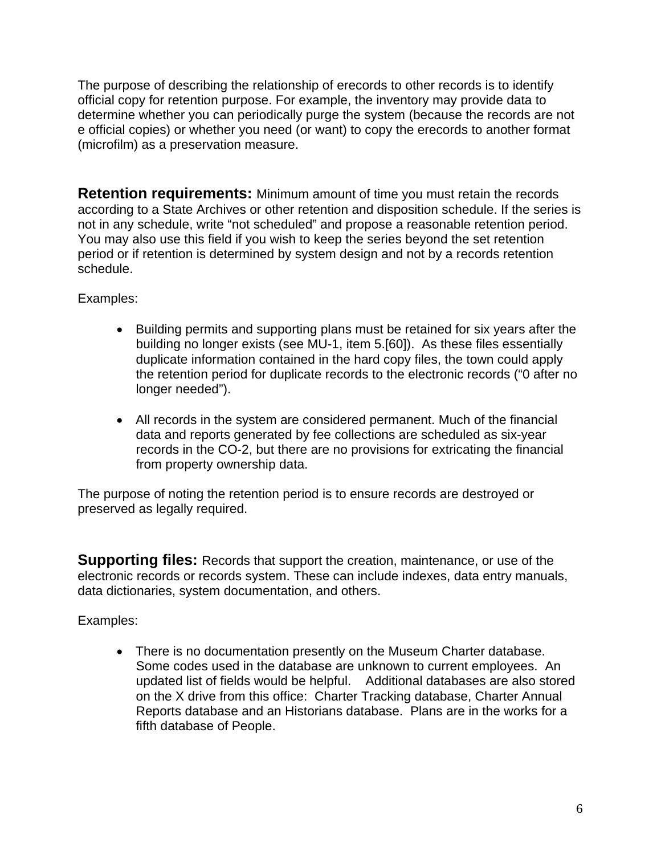The purpose of describing the relationship of erecords to other records is to identify official copy for retention purpose. For example, the inventory may provide data to determine whether you can periodically purge the system (because the records are not e official copies) or whether you need (or want) to copy the erecords to another format (microfilm) as a preservation measure.

**Retention requirements:** Minimum amount of time you must retain the records according to a State Archives or other retention and disposition schedule. If the series is not in any schedule, write "not scheduled" and propose a reasonable retention period. You may also use this field if you wish to keep the series beyond the set retention period or if retention is determined by system design and not by a records retention schedule.

Examples:

- Building permits and supporting plans must be retained for six years after the building no longer exists (see MU-1, item 5.[60]). As these files essentially duplicate information contained in the hard copy files, the town could apply the retention period for duplicate records to the electronic records ("0 after no longer needed").
- All records in the system are considered permanent. Much of the financial data and reports generated by fee collections are scheduled as six-year records in the CO-2, but there are no provisions for extricating the financial from property ownership data.

The purpose of noting the retention period is to ensure records are destroyed or preserved as legally required.

**Supporting files:** Records that support the creation, maintenance, or use of the electronic records or records system. These can include indexes, data entry manuals, data dictionaries, system documentation, and others.

Examples:

• There is no documentation presently on the Museum Charter database. Some codes used in the database are unknown to current employees. An updated list of fields would be helpful. Additional databases are also stored on the X drive from this office: Charter Tracking database, Charter Annual Reports database and an Historians database. Plans are in the works for a fifth database of People.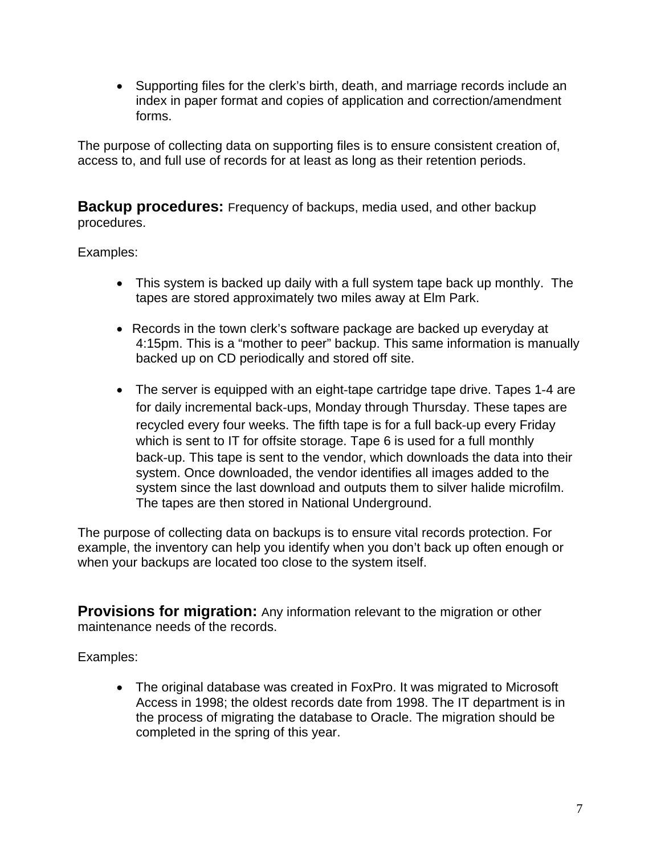• Supporting files for the clerk's birth, death, and marriage records include an index in paper format and copies of application and correction/amendment forms.

The purpose of collecting data on supporting files is to ensure consistent creation of, access to, and full use of records for at least as long as their retention periods.

**Backup procedures:** Frequency of backups, media used, and other backup procedures.

Examples:

- This system is backed up daily with a full system tape back up monthly. The tapes are stored approximately two miles away at Elm Park.
- Records in the town clerk's software package are backed up everyday at 4:15pm. This is a "mother to peer" backup. This same information is manually backed up on CD periodically and stored off site.
- The server is equipped with an eight-tape cartridge tape drive. Tapes 1-4 are for daily incremental back‐ups, Monday through Thursday. These tapes are recycled every four weeks. The fifth tape is for a full back‐up every Friday which is sent to IT for offsite storage. Tape 6 is used for a full monthly back‐up. This tape is sent to the vendor, which downloads the data into their system. Once downloaded, the vendor identifies all images added to the system since the last download and outputs them to silver halide microfilm. The tapes are then stored in National Underground.

The purpose of collecting data on backups is to ensure vital records protection. For example, the inventory can help you identify when you don't back up often enough or when your backups are located too close to the system itself.

**Provisions for migration:** Any information relevant to the migration or other maintenance needs of the records.

Examples:

• The original database was created in FoxPro. It was migrated to Microsoft Access in 1998; the oldest records date from 1998. The IT department is in the process of migrating the database to Oracle. The migration should be completed in the spring of this year.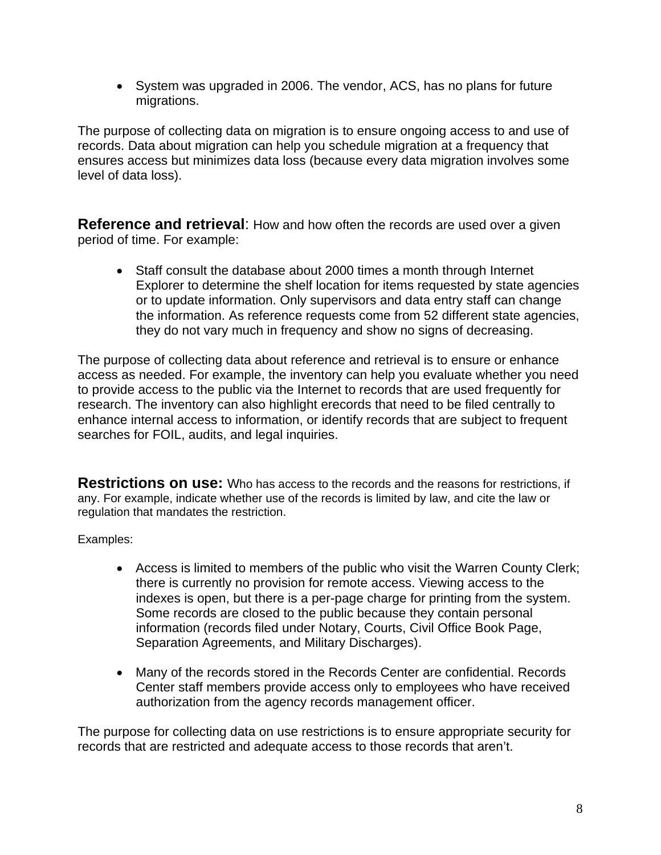• System was upgraded in 2006. The vendor, ACS, has no plans for future migrations.

The purpose of collecting data on migration is to ensure ongoing access to and use of records. Data about migration can help you schedule migration at a frequency that ensures access but minimizes data loss (because every data migration involves some level of data loss).

**Reference and retrieval**: How and how often the records are used over a given period of time. For example:

• Staff consult the database about 2000 times a month through Internet Explorer to determine the shelf location for items requested by state agencies or to update information. Only supervisors and data entry staff can change the information. As reference requests come from 52 different state agencies, they do not vary much in frequency and show no signs of decreasing.

The purpose of collecting data about reference and retrieval is to ensure or enhance access as needed. For example, the inventory can help you evaluate whether you need to provide access to the public via the Internet to records that are used frequently for research. The inventory can also highlight erecords that need to be filed centrally to enhance internal access to information, or identify records that are subject to frequent searches for FOIL, audits, and legal inquiries.

**Restrictions on use:** Who has access to the records and the reasons for restrictions, if any. For example, indicate whether use of the records is limited by law, and cite the law or regulation that mandates the restriction.

Examples:

- Access is limited to members of the public who visit the Warren County Clerk; there is currently no provision for remote access. Viewing access to the indexes is open, but there is a per-page charge for printing from the system. Some records are closed to the public because they contain personal information (records filed under Notary, Courts, Civil Office Book Page, Separation Agreements, and Military Discharges).
- Many of the records stored in the Records Center are confidential. Records Center staff members provide access only to employees who have received authorization from the agency records management officer.

The purpose for collecting data on use restrictions is to ensure appropriate security for records that are restricted and adequate access to those records that aren't.